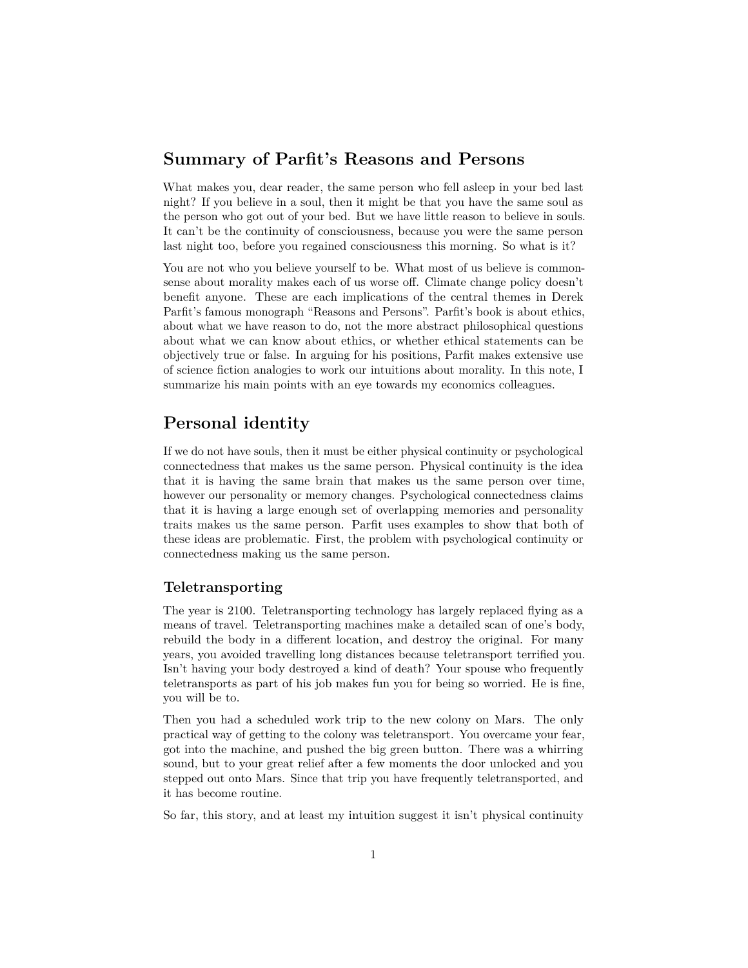## **Summary of Parfit's Reasons and Persons**

What makes you, dear reader, the same person who fell asleep in your bed last night? If you believe in a soul, then it might be that you have the same soul as the person who got out of your bed. But we have little reason to believe in souls. It can't be the continuity of consciousness, because you were the same person last night too, before you regained consciousness this morning. So what is it?

You are not who you believe yourself to be. What most of us believe is commonsense about morality makes each of us worse off. Climate change policy doesn't benefit anyone. These are each implications of the central themes in Derek Parfit's famous monograph "Reasons and Persons". Parfit's book is about ethics, about what we have reason to do, not the more abstract philosophical questions about what we can know about ethics, or whether ethical statements can be objectively true or false. In arguing for his positions, Parfit makes extensive use of science fiction analogies to work our intuitions about morality. In this note, I summarize his main points with an eye towards my economics colleagues.

# **Personal identity**

If we do not have souls, then it must be either physical continuity or psychological connectedness that makes us the same person. Physical continuity is the idea that it is having the same brain that makes us the same person over time, however our personality or memory changes. Psychological connectedness claims that it is having a large enough set of overlapping memories and personality traits makes us the same person. Parfit uses examples to show that both of these ideas are problematic. First, the problem with psychological continuity or connectedness making us the same person.

### **Teletransporting**

The year is 2100. Teletransporting technology has largely replaced flying as a means of travel. Teletransporting machines make a detailed scan of one's body, rebuild the body in a different location, and destroy the original. For many years, you avoided travelling long distances because teletransport terrified you. Isn't having your body destroyed a kind of death? Your spouse who frequently teletransports as part of his job makes fun you for being so worried. He is fine, you will be to.

Then you had a scheduled work trip to the new colony on Mars. The only practical way of getting to the colony was teletransport. You overcame your fear, got into the machine, and pushed the big green button. There was a whirring sound, but to your great relief after a few moments the door unlocked and you stepped out onto Mars. Since that trip you have frequently teletransported, and it has become routine.

So far, this story, and at least my intuition suggest it isn't physical continuity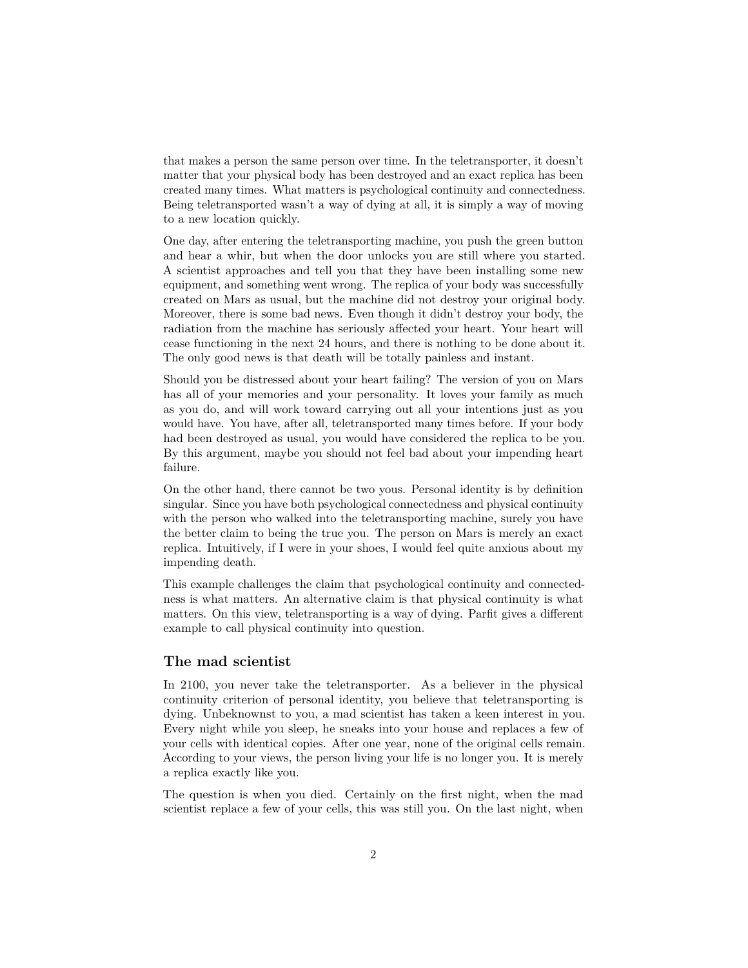that makes a person the same person over time. In the teletransporter, it doesn't matter that your physical body has been destroyed and an exact replica has been created many times. What matters is psychological continuity and connectedness. Being teletransported wasn't a way of dying at all, it is simply a way of moving to a new location quickly.

One day, after entering the teletransporting machine, you push the green button and hear a whir, but when the door unlocks you are still where you started. A scientist approaches and tell you that they have been installing some new equipment, and something went wrong. The replica of your body was successfully created on Mars as usual, but the machine did not destroy your original body. Moreover, there is some bad news. Even though it didn't destroy your body, the radiation from the machine has seriously affected your heart. Your heart will cease functioning in the next 24 hours, and there is nothing to be done about it. The only good news is that death will be totally painless and instant.

Should you be distressed about your heart failing? The version of you on Mars has all of your memories and your personality. It loves your family as much as you do, and will work toward carrying out all your intentions just as you would have. You have, after all, teletransported many times before. If your body had been destroyed as usual, you would have considered the replica to be you. By this argument, maybe you should not feel bad about your impending heart failure.

On the other hand, there cannot be two yous. Personal identity is by definition singular. Since you have both psychological connectedness and physical continuity with the person who walked into the teletransporting machine, surely you have the better claim to being the true you. The person on Mars is merely an exact replica. Intuitively, if I were in your shoes, I would feel quite anxious about my impending death.

This example challenges the claim that psychological continuity and connectedness is what matters. An alternative claim is that physical continuity is what matters. On this view, teletransporting is a way of dying. Parfit gives a different example to call physical continuity into question.

### **The mad scientist**

In 2100, you never take the teletransporter. As a believer in the physical continuity criterion of personal identity, you believe that teletransporting is dying. Unbeknownst to you, a mad scientist has taken a keen interest in you. Every night while you sleep, he sneaks into your house and replaces a few of your cells with identical copies. After one year, none of the original cells remain. According to your views, the person living your life is no longer you. It is merely a replica exactly like you.

The question is when you died. Certainly on the first night, when the mad scientist replace a few of your cells, this was still you. On the last night, when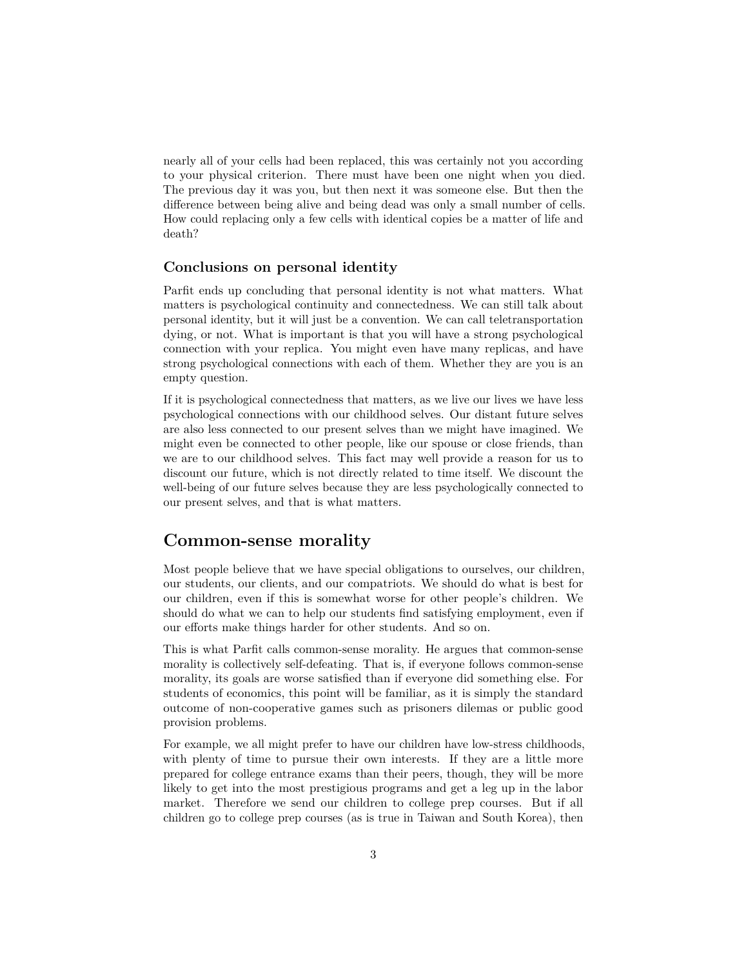nearly all of your cells had been replaced, this was certainly not you according to your physical criterion. There must have been one night when you died. The previous day it was you, but then next it was someone else. But then the difference between being alive and being dead was only a small number of cells. How could replacing only a few cells with identical copies be a matter of life and death?

### **Conclusions on personal identity**

Parfit ends up concluding that personal identity is not what matters. What matters is psychological continuity and connectedness. We can still talk about personal identity, but it will just be a convention. We can call teletransportation dying, or not. What is important is that you will have a strong psychological connection with your replica. You might even have many replicas, and have strong psychological connections with each of them. Whether they are you is an empty question.

If it is psychological connectedness that matters, as we live our lives we have less psychological connections with our childhood selves. Our distant future selves are also less connected to our present selves than we might have imagined. We might even be connected to other people, like our spouse or close friends, than we are to our childhood selves. This fact may well provide a reason for us to discount our future, which is not directly related to time itself. We discount the well-being of our future selves because they are less psychologically connected to our present selves, and that is what matters.

## **Common-sense morality**

Most people believe that we have special obligations to ourselves, our children, our students, our clients, and our compatriots. We should do what is best for our children, even if this is somewhat worse for other people's children. We should do what we can to help our students find satisfying employment, even if our efforts make things harder for other students. And so on.

This is what Parfit calls common-sense morality. He argues that common-sense morality is collectively self-defeating. That is, if everyone follows common-sense morality, its goals are worse satisfied than if everyone did something else. For students of economics, this point will be familiar, as it is simply the standard outcome of non-cooperative games such as prisoners dilemas or public good provision problems.

For example, we all might prefer to have our children have low-stress childhoods, with plenty of time to pursue their own interests. If they are a little more prepared for college entrance exams than their peers, though, they will be more likely to get into the most prestigious programs and get a leg up in the labor market. Therefore we send our children to college prep courses. But if all children go to college prep courses (as is true in Taiwan and South Korea), then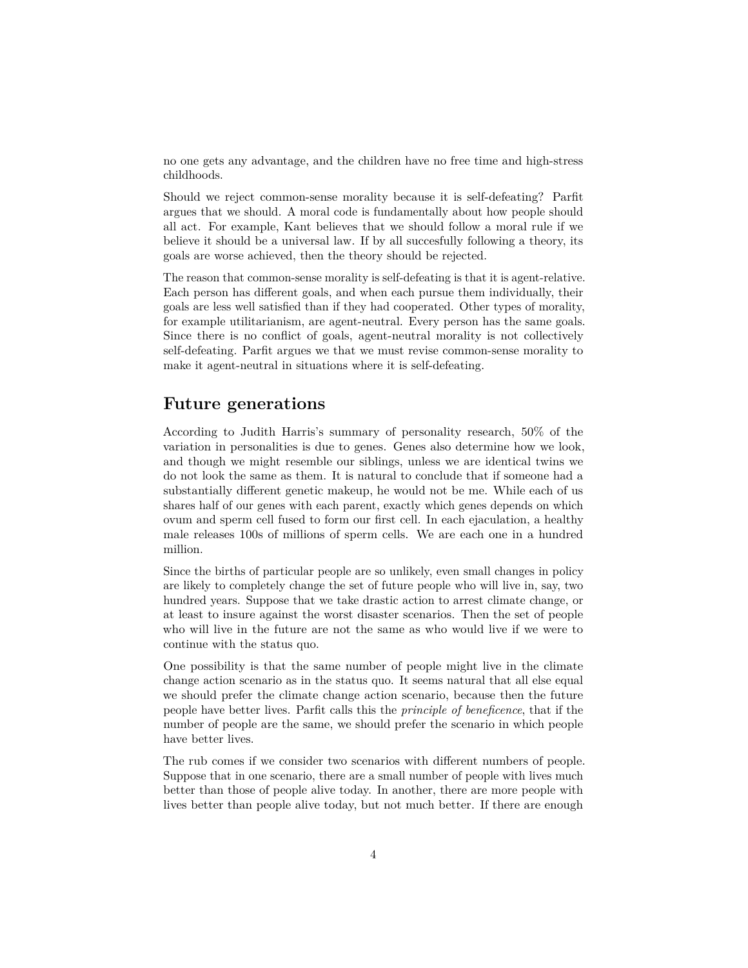no one gets any advantage, and the children have no free time and high-stress childhoods.

Should we reject common-sense morality because it is self-defeating? Parfit argues that we should. A moral code is fundamentally about how people should all act. For example, Kant believes that we should follow a moral rule if we believe it should be a universal law. If by all succesfully following a theory, its goals are worse achieved, then the theory should be rejected.

The reason that common-sense morality is self-defeating is that it is agent-relative. Each person has different goals, and when each pursue them individually, their goals are less well satisfied than if they had cooperated. Other types of morality, for example utilitarianism, are agent-neutral. Every person has the same goals. Since there is no conflict of goals, agent-neutral morality is not collectively self-defeating. Parfit argues we that we must revise common-sense morality to make it agent-neutral in situations where it is self-defeating.

## **Future generations**

According to Judith Harris's summary of personality research, 50% of the variation in personalities is due to genes. Genes also determine how we look, and though we might resemble our siblings, unless we are identical twins we do not look the same as them. It is natural to conclude that if someone had a substantially different genetic makeup, he would not be me. While each of us shares half of our genes with each parent, exactly which genes depends on which ovum and sperm cell fused to form our first cell. In each ejaculation, a healthy male releases 100s of millions of sperm cells. We are each one in a hundred million.

Since the births of particular people are so unlikely, even small changes in policy are likely to completely change the set of future people who will live in, say, two hundred years. Suppose that we take drastic action to arrest climate change, or at least to insure against the worst disaster scenarios. Then the set of people who will live in the future are not the same as who would live if we were to continue with the status quo.

One possibility is that the same number of people might live in the climate change action scenario as in the status quo. It seems natural that all else equal we should prefer the climate change action scenario, because then the future people have better lives. Parfit calls this the *principle of beneficence*, that if the number of people are the same, we should prefer the scenario in which people have better lives.

The rub comes if we consider two scenarios with different numbers of people. Suppose that in one scenario, there are a small number of people with lives much better than those of people alive today. In another, there are more people with lives better than people alive today, but not much better. If there are enough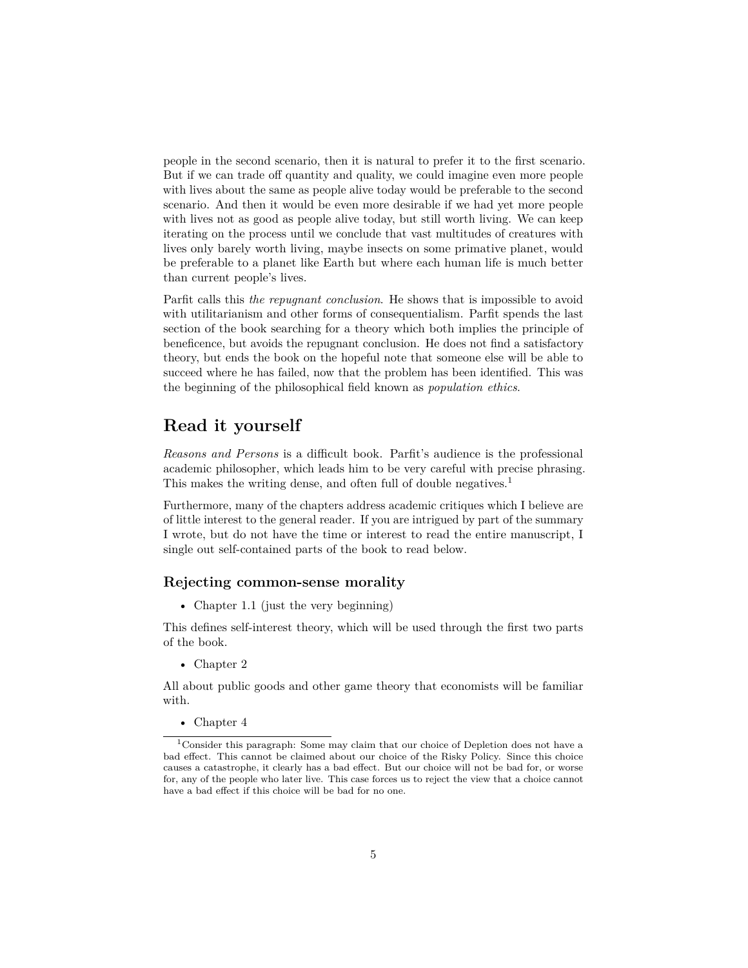people in the second scenario, then it is natural to prefer it to the first scenario. But if we can trade off quantity and quality, we could imagine even more people with lives about the same as people alive today would be preferable to the second scenario. And then it would be even more desirable if we had yet more people with lives not as good as people alive today, but still worth living. We can keep iterating on the process until we conclude that vast multitudes of creatures with lives only barely worth living, maybe insects on some primative planet, would be preferable to a planet like Earth but where each human life is much better than current people's lives.

Parfit calls this *the repugnant conclusion*. He shows that is impossible to avoid with utilitarianism and other forms of consequentialism. Parfit spends the last section of the book searching for a theory which both implies the principle of beneficence, but avoids the repugnant conclusion. He does not find a satisfactory theory, but ends the book on the hopeful note that someone else will be able to succeed where he has failed, now that the problem has been identified. This was the beginning of the philosophical field known as *population ethics*.

# **Read it yourself**

*Reasons and Persons* is a difficult book. Parfit's audience is the professional academic philosopher, which leads him to be very careful with precise phrasing. This makes the writing dense, and often full of double negatives.<sup>[1](#page-4-0)</sup>

Furthermore, many of the chapters address academic critiques which I believe are of little interest to the general reader. If you are intrigued by part of the summary I wrote, but do not have the time or interest to read the entire manuscript, I single out self-contained parts of the book to read below.

### **Rejecting common-sense morality**

• Chapter 1.1 (just the very beginning)

This defines self-interest theory, which will be used through the first two parts of the book.

• Chapter 2

All about public goods and other game theory that economists will be familiar with.

<span id="page-4-0"></span>• Chapter 4

<sup>1</sup>Consider this paragraph: Some may claim that our choice of Depletion does not have a bad effect. This cannot be claimed about our choice of the Risky Policy. Since this choice causes a catastrophe, it clearly has a bad effect. But our choice will not be bad for, or worse for, any of the people who later live. This case forces us to reject the view that a choice cannot have a bad effect if this choice will be bad for no one.